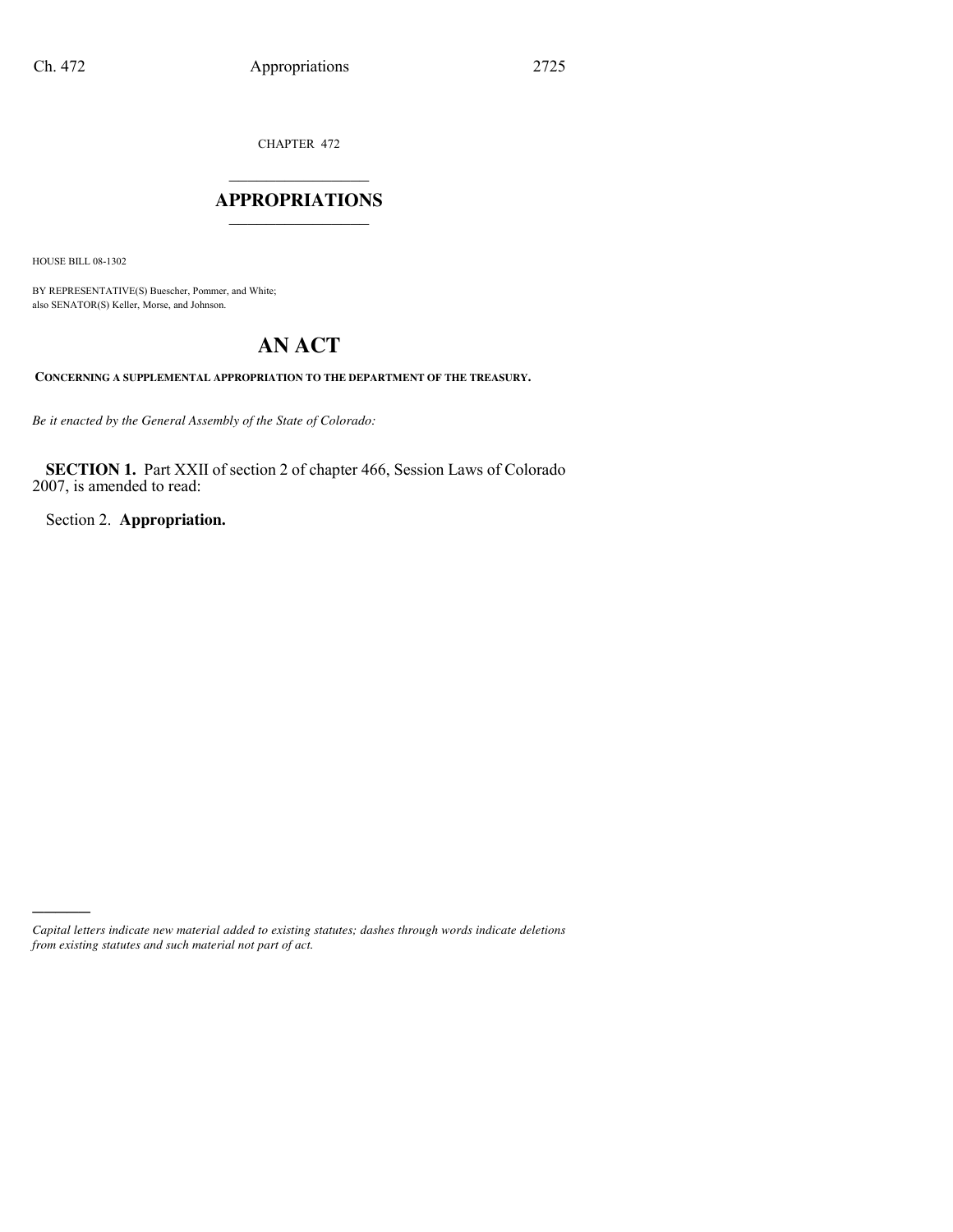CHAPTER 472

## $\mathcal{L}$  , we have the set of the set of the set of the set of the set of the set of the set of the set of the set of the set of the set of the set of the set of the set of the set of the set of the set of the set of the **APPROPRIATIONS** \_\_\_\_\_\_\_\_\_\_\_\_\_\_\_

HOUSE BILL 08-1302

)))))

BY REPRESENTATIVE(S) Buescher, Pommer, and White; also SENATOR(S) Keller, Morse, and Johnson.

## **AN ACT**

**CONCERNING A SUPPLEMENTAL APPROPRIATION TO THE DEPARTMENT OF THE TREASURY.**

*Be it enacted by the General Assembly of the State of Colorado:*

**SECTION 1.** Part XXII of section 2 of chapter 466, Session Laws of Colorado 2007, is amended to read:

Section 2. **Appropriation.**

*Capital letters indicate new material added to existing statutes; dashes through words indicate deletions from existing statutes and such material not part of act.*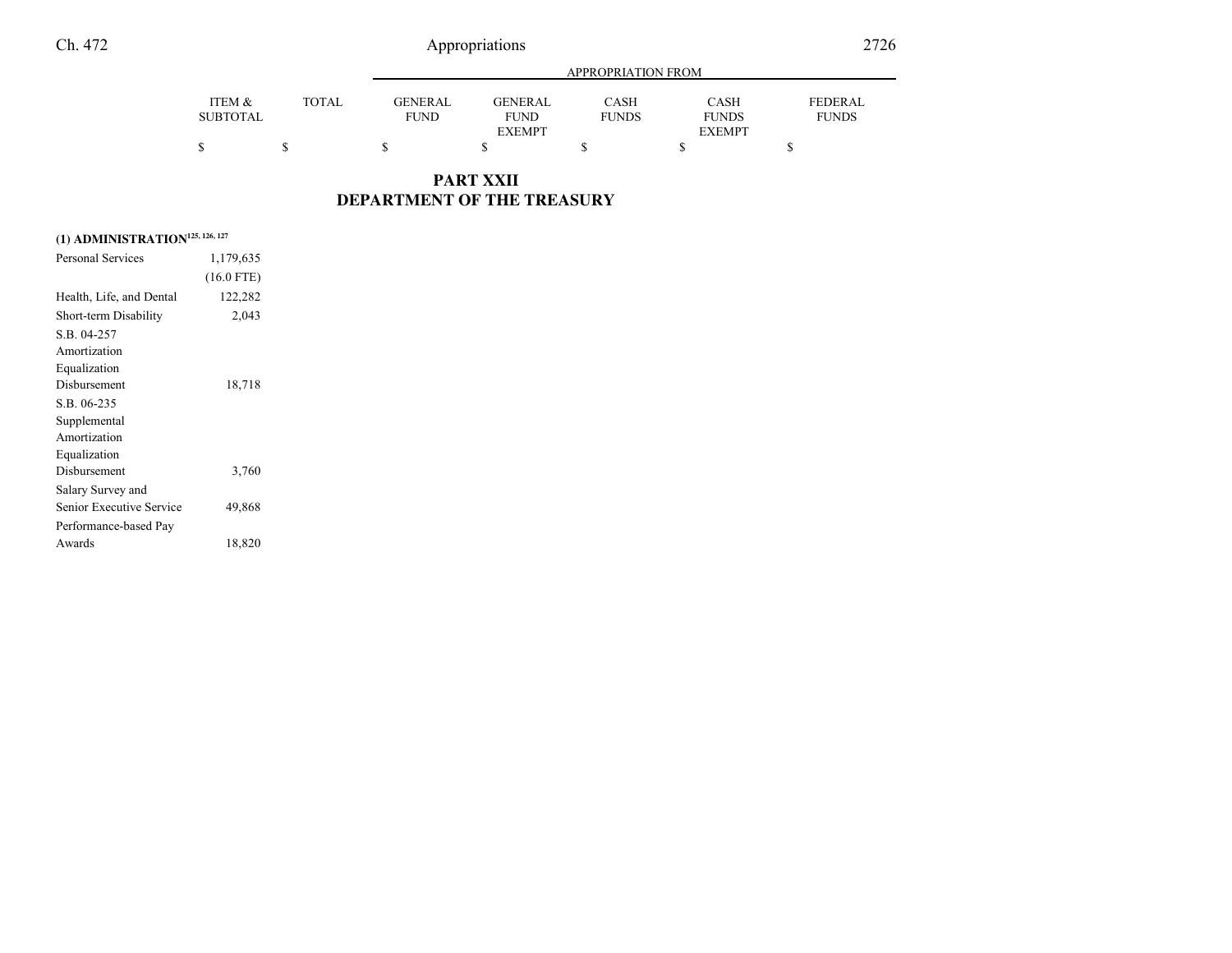| ↩ |        | 2726         |         |                           |      |      |                |  |
|---|--------|--------------|---------|---------------------------|------|------|----------------|--|
|   |        |              |         | <b>APPROPRIATION FROM</b> |      |      |                |  |
|   | ITEM & | <b>TOTAL</b> | GENERAL | <b>GENERAL</b>            | CASH | CASH | <b>FEDERAL</b> |  |

**PART XXII DEPARTMENT OF THE TREASURY**

|  | (1) ADMINISTRATION <sup>125, 126, 127</sup> |  |  |
|--|---------------------------------------------|--|--|
|--|---------------------------------------------|--|--|

| Personal Services        | 1,179,635    |  |
|--------------------------|--------------|--|
|                          | $(16.0$ FTE) |  |
| Health, Life, and Dental | 122,282      |  |
| Short-term Disability    | 2,043        |  |
| S.B. 04-257              |              |  |
| Amortization             |              |  |
| Equalization             |              |  |
| Disbursement             | 18,718       |  |
| S.B. 06-235              |              |  |
| Supplemental             |              |  |
| Amortization             |              |  |
| Equalization             |              |  |
| Disbursement             | 3,760        |  |
| Salary Survey and        |              |  |
| Senior Executive Service | 49,868       |  |
| Performance-based Pay    |              |  |
| Awards                   | 18,820       |  |
|                          |              |  |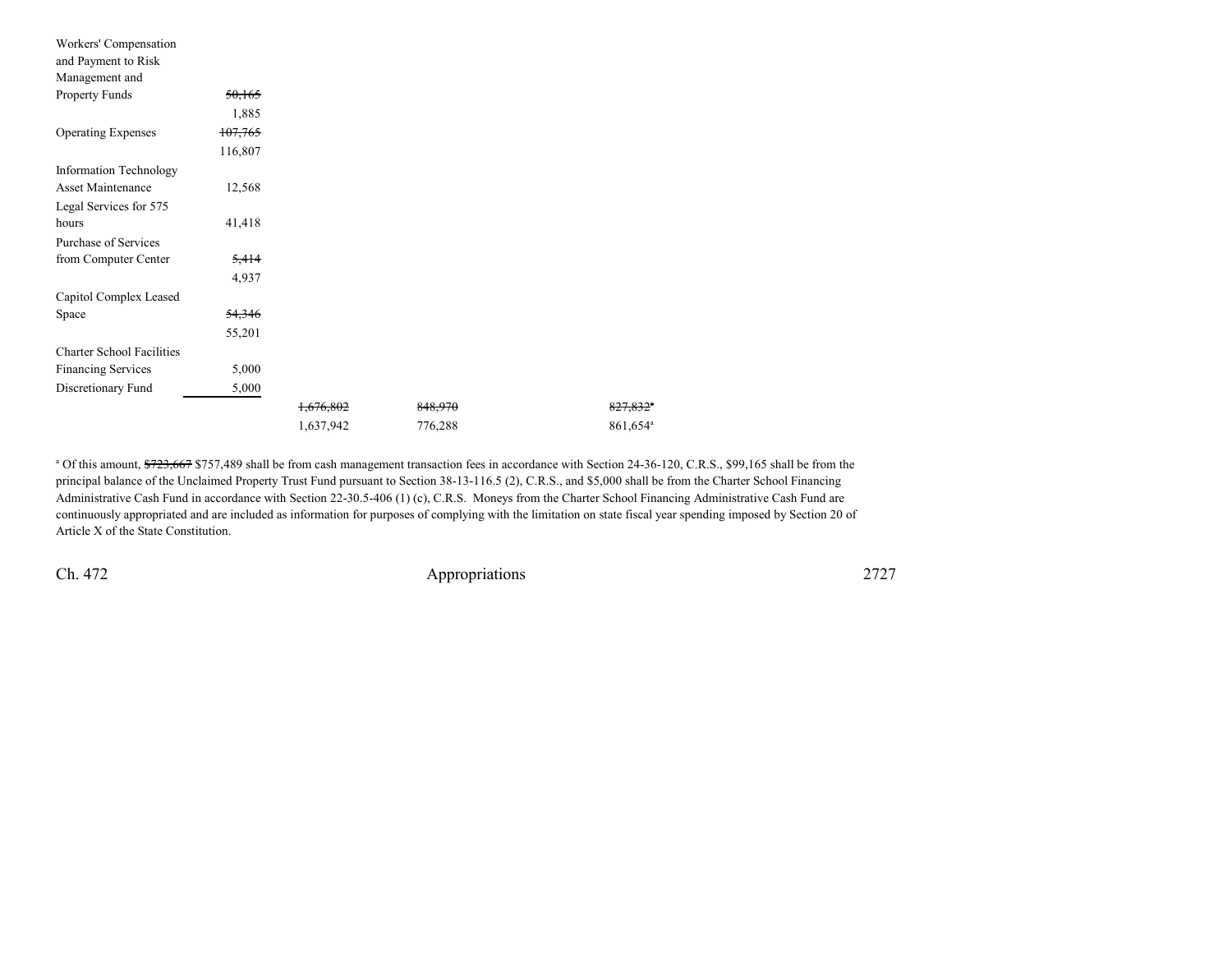| Workers' Compensation            |         |           |         |                        |
|----------------------------------|---------|-----------|---------|------------------------|
| and Payment to Risk              |         |           |         |                        |
| Management and                   |         |           |         |                        |
| Property Funds                   | 50,165  |           |         |                        |
|                                  | 1,885   |           |         |                        |
| <b>Operating Expenses</b>        | 107,765 |           |         |                        |
|                                  | 116,807 |           |         |                        |
| <b>Information Technology</b>    |         |           |         |                        |
| Asset Maintenance                | 12,568  |           |         |                        |
| Legal Services for 575           |         |           |         |                        |
| hours                            | 41,418  |           |         |                        |
| Purchase of Services             |         |           |         |                        |
| from Computer Center             | 5,414   |           |         |                        |
|                                  | 4,937   |           |         |                        |
| Capitol Complex Leased           |         |           |         |                        |
| Space                            | 54,346  |           |         |                        |
|                                  | 55,201  |           |         |                        |
| <b>Charter School Facilities</b> |         |           |         |                        |
| <b>Financing Services</b>        | 5,000   |           |         |                        |
| Discretionary Fund               | 5,000   |           |         |                        |
|                                  |         | 1,676,802 | 848,970 | $827,832$ <sup>*</sup> |
|                                  |         | 1,637,942 | 776,288 | 861,654 <sup>a</sup>   |

<sup>a</sup> Of this amount, \$723,667 \$757,489 shall be from cash management transaction fees in accordance with Section 24-36-120, C.R.S., \$99,165 shall be from the principal balance of the Unclaimed Property Trust Fund pursuant to Section 38-13-116.5 (2), C.R.S., and \$5,000 shall be from the Charter School Financing Administrative Cash Fund in accordance with Section 22-30.5-406 (1) (c), C.R.S. Moneys from the Charter School Financing Administrative Cash Fund are continuously appropriated and are included as information for purposes of complying with the limitation on state fiscal year spending imposed by Section 20 ofArticle X of the State Constitution.

Ch. 472

2727 Appropriations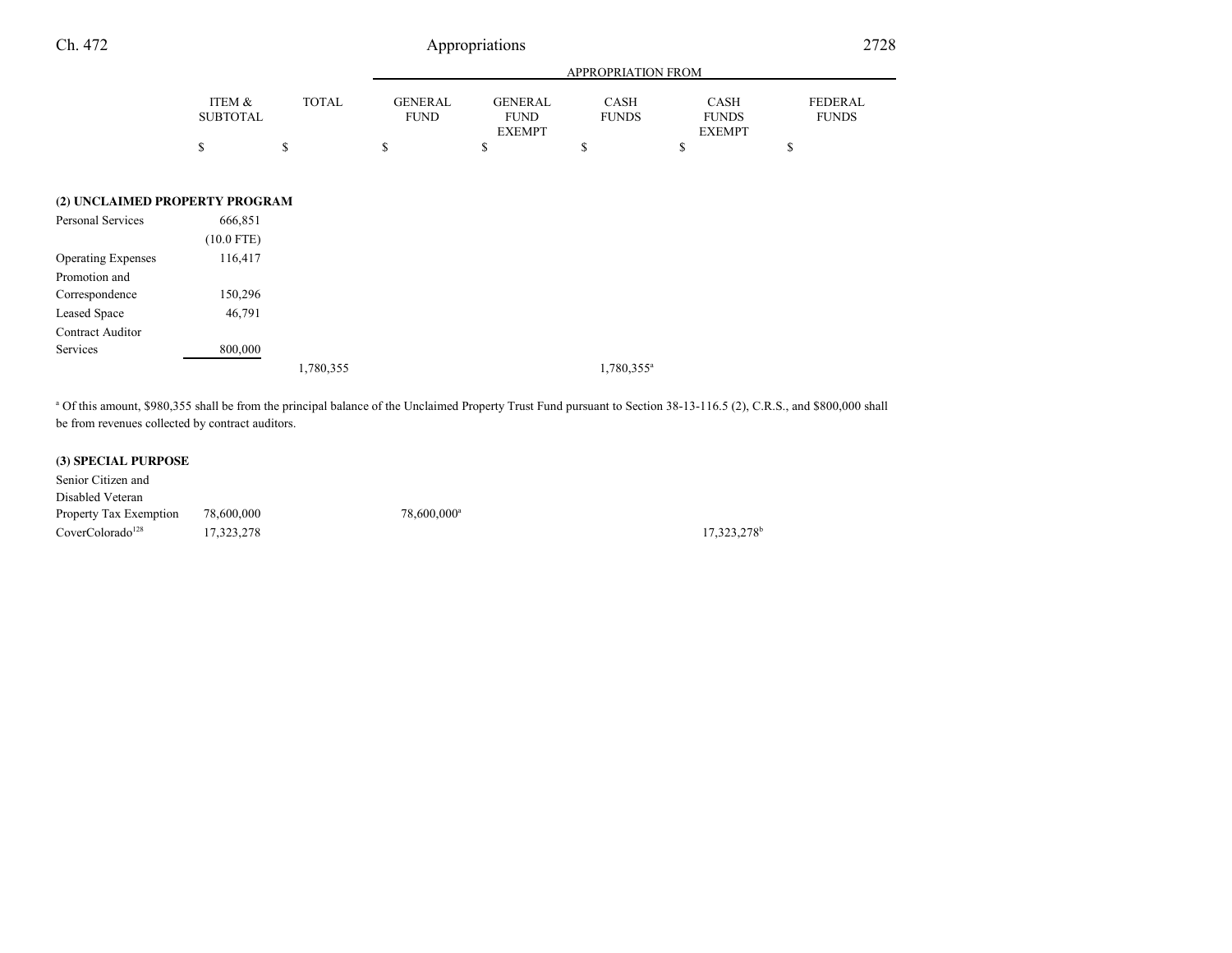| Ch. 472                        |                           |              | Appropriations                |                                                |                             |                                              | 2728                    |  |
|--------------------------------|---------------------------|--------------|-------------------------------|------------------------------------------------|-----------------------------|----------------------------------------------|-------------------------|--|
|                                |                           |              |                               | APPROPRIATION FROM                             |                             |                                              |                         |  |
|                                | ITEM &<br><b>SUBTOTAL</b> | <b>TOTAL</b> | <b>GENERAL</b><br><b>FUND</b> | <b>GENERAL</b><br><b>FUND</b><br><b>EXEMPT</b> | <b>CASH</b><br><b>FUNDS</b> | <b>CASH</b><br><b>FUNDS</b><br><b>EXEMPT</b> | FEDERAL<br><b>FUNDS</b> |  |
|                                | \$                        | \$           | \$                            | \$                                             | \$                          | \$                                           | \$                      |  |
| (2) UNCLAIMED PROPERTY PROGRAM |                           |              |                               |                                                |                             |                                              |                         |  |
| Personal Services              | 666,851<br>$(10.0$ FTE)   |              |                               |                                                |                             |                                              |                         |  |
| <b>Operating Expenses</b>      | 116,417                   |              |                               |                                                |                             |                                              |                         |  |
| Promotion and                  |                           |              |                               |                                                |                             |                                              |                         |  |
| Correspondence                 | 150,296                   |              |                               |                                                |                             |                                              |                         |  |
| Leased Space                   | 46,791                    |              |                               |                                                |                             |                                              |                         |  |
| Contract Auditor               |                           |              |                               |                                                |                             |                                              |                         |  |
| Services                       | 800,000                   |              |                               |                                                |                             |                                              |                         |  |
|                                |                           | 1,780,355    |                               |                                                | $1,780,355^a$               |                                              |                         |  |

a Of this amount, \$980,355 shall be from the principal balance of the Unclaimed Property Trust Fund pursuant to Section 38-13-116.5 (2), C.R.S., and \$800,000 shall be from revenues collected by contract auditors.

## **(3) SPECIAL PURPOSE**

| Senior Citizen and           |            |                         |
|------------------------------|------------|-------------------------|
| Disabled Veteran             |            |                         |
| Property Tax Exemption       | 78.600.000 | 78.600.000 <sup>a</sup> |
| CoverColorado <sup>128</sup> | 17.323.278 |                         |

17,323,278<sup>b</sup>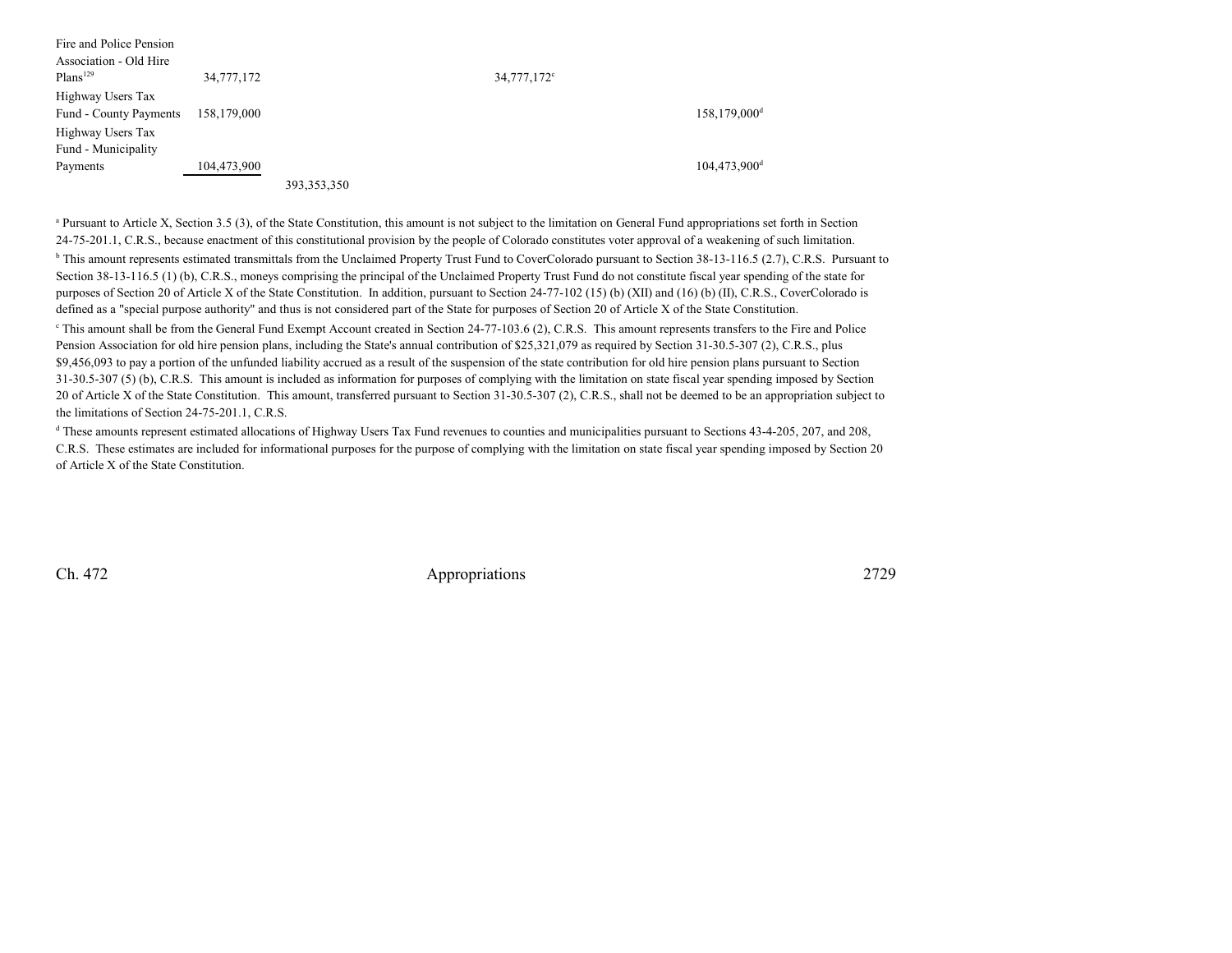| Fire and Police Pension |             |               |                         |                              |
|-------------------------|-------------|---------------|-------------------------|------------------------------|
| Association - Old Hire  |             |               |                         |                              |
| Plans <sup>129</sup>    | 34,777,172  |               | 34,777,172 <sup>c</sup> |                              |
| Highway Users Tax       |             |               |                         |                              |
| Fund - County Payments  | 158,179,000 |               |                         | $158, 179, 000$ <sup>d</sup> |
| Highway Users Tax       |             |               |                         |                              |
| Fund - Municipality     |             |               |                         |                              |
| Payments                | 104,473,900 |               |                         | $104,473,900$ <sup>d</sup>   |
|                         |             | 393, 353, 350 |                         |                              |

<sup>a</sup> Pursuant to Article X, Section 3.5 (3), of the State Constitution, this amount is not subject to the limitation on General Fund appropriations set forth in Section 24-75-201.1, C.R.S., because enactment of this constitutional provision by the people of Colorado constitutes voter approval of a weakening of such limitation.<sup>b</sup> This amount represents estimated transmittals from the Unclaimed Property Trust Fund to CoverColorado pursuant to Section 38-13-116.5 (2.7), C.R.S. Pursuant to Section 38-13-116.5 (1) (b), C.R.S., moneys comprising the principal of the Unclaimed Property Trust Fund do not constitute fiscal year spending of the state for purposes of Section 20 of Article X of the State Constitution. In addition, pursuant to Section 24-77-102 (15) (b) (XII) and (16) (b) (II), C.R.S., CoverColorado isdefined as a "special purpose authority" and thus is not considered part of the State for purposes of Section 20 of Article X of the State Constitution.<sup>e</sup> This amount shall be from the General Fund Exempt Account created in Section 24-77-103.6 (2), C.R.S. This amount represents transfers to the Fire and Police Pension Association for old hire pension plans, including the State's annual contribution of \$25,321,079 as required by Section 31-30.5-307 (2), C.R.S., plus\$9,456,093 to pay a portion of the unfunded liability accrued as a result of the suspension of the state contribution for old hire pension plans pursuant to Section 31-30.5-307 (5) (b), C.R.S. This amount is included as information for purposes of complying with the limitation on state fiscal year spending imposed by Section20 of Article X of the State Constitution. This amount, transferred pursuant to Section 31-30.5-307 (2), C.R.S., shall not be deemed to be an appropriation subject to the limitations of Section 24-75-201.1, C.R.S.

<sup>d</sup> These amounts represent estimated allocations of Highway Users Tax Fund revenues to counties and municipalities pursuant to Sections 43-4-205, 207, and 208, C.R.S. These estimates are included for informational purposes for the purpose of complying with the limitation on state fiscal year spending imposed by Section 20of Article X of the State Constitution.

Ch. 472

2729 Appropriations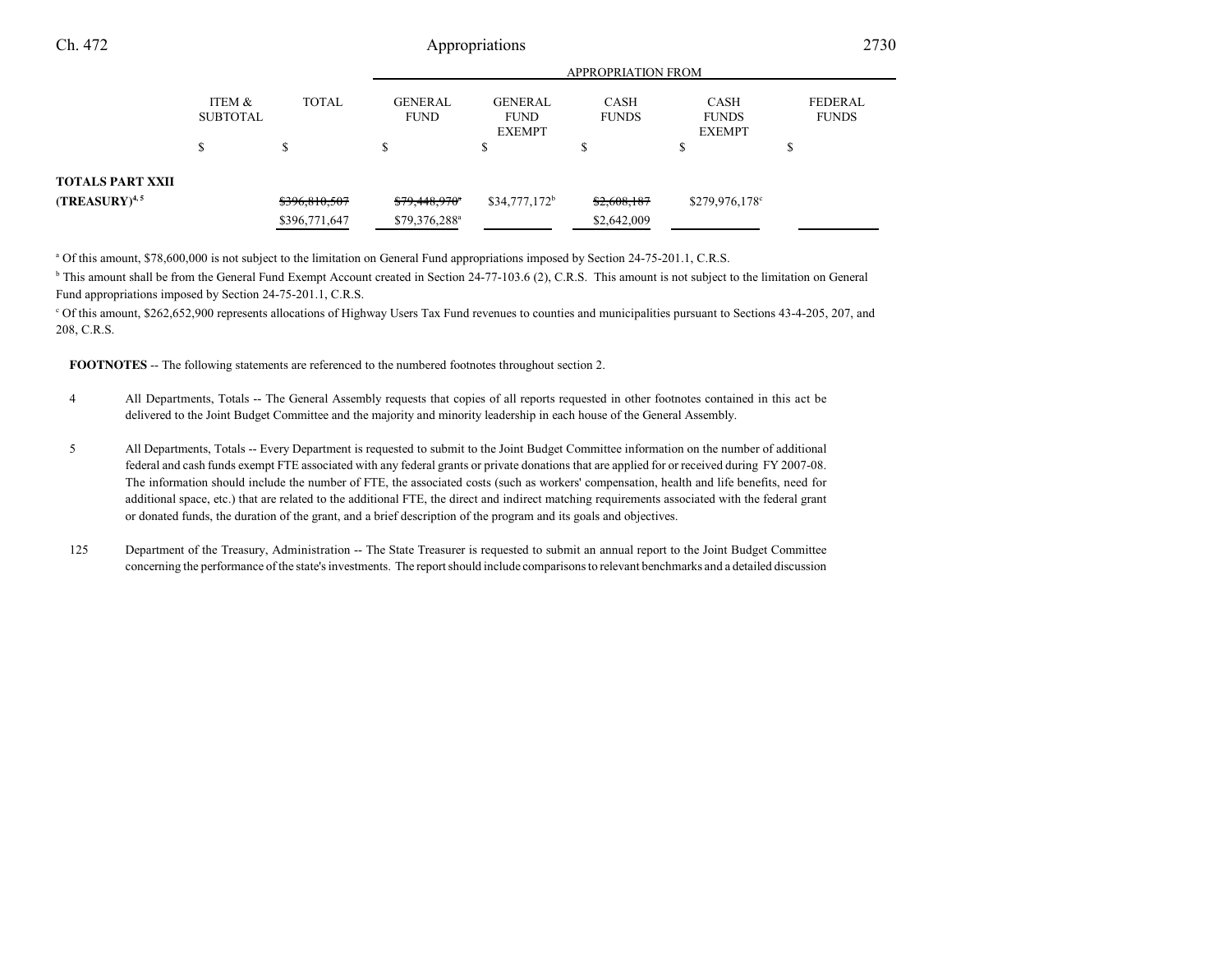| Ch. 472                 |                           | Appropriations |                               |                                                |                             | 2730                                         |                                |  |
|-------------------------|---------------------------|----------------|-------------------------------|------------------------------------------------|-----------------------------|----------------------------------------------|--------------------------------|--|
|                         |                           |                |                               | APPROPRIATION FROM                             |                             |                                              |                                |  |
|                         | ITEM &<br><b>SUBTOTAL</b> | <b>TOTAL</b>   | <b>GENERAL</b><br><b>FUND</b> | <b>GENERAL</b><br><b>FUND</b><br><b>EXEMPT</b> | <b>CASH</b><br><b>FUNDS</b> | <b>CASH</b><br><b>FUNDS</b><br><b>EXEMPT</b> | <b>FEDERAL</b><br><b>FUNDS</b> |  |
|                         | ¢<br>ъ                    | \$             | Ъ                             | ¢<br>ъ                                         |                             | \$                                           | S                              |  |
| <b>TOTALS PART XXII</b> |                           |                |                               |                                                |                             |                                              |                                |  |
| $(TREASURY)^{4,5}$      |                           | \$396,810,507  | $$79,448,970$ <sup>*</sup>    | $$34,777,172^b$                                | \$2,608,187                 | $$279,976,178$ °                             |                                |  |
|                         |                           | \$396,771,647  | \$79,376,288 <sup>a</sup>     |                                                | \$2,642,009                 |                                              |                                |  |

<sup>a</sup> Of this amount, \$78,600,000 is not subject to the limitation on General Fund appropriations imposed by Section 24-75-201.1, C.R.S.

<sup>b</sup> This amount shall be from the General Fund Exempt Account created in Section 24-77-103.6 (2), C.R.S. This amount is not subject to the limitation on General Fund appropriations imposed by Section 24-75-201.1, C.R.S.

c Of this amount, \$262,652,900 represents allocations of Highway Users Tax Fund revenues to counties and municipalities pursuant to Sections 43-4-205, 207, and208, C.R.S.

**FOOTNOTES** -- The following statements are referenced to the numbered footnotes throughout section 2.

- <sup>4</sup> All Departments, Totals -- The General Assembly requests that copies of all reports requested in other footnotes contained in this act be delivered to the Joint Budget Committee and the majority and minority leadership in each house of the General Assembly.
- <sup>5</sup> All Departments, Totals -- Every Department is requested to submit to the Joint Budget Committee information on the number of additional federal and cash funds exempt FTE associated with any federal grants or private donations that are applied for or received during FY 2007-08. The information should include the number of FTE, the associated costs (such as workers' compensation, health and life benefits, need for additional space, etc.) that are related to the additional FTE, the direct and indirect matching requirements associated with the federal grantor donated funds, the duration of the grant, and a brief description of the program and its goals and objectives.
- 125 Department of the Treasury, Administration -- The State Treasurer is requested to submit an annual report to the Joint Budget Committee concerning the performance of the state's investments. The report should include comparisons to relevant benchmarks and a detailed discussion